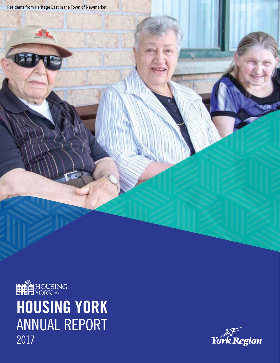

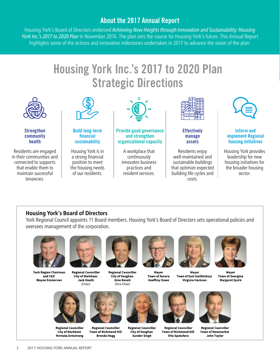#### About the 2017 Annual Report

Housing York's Board of Directors endorsed *Achieving New Heights through Innovation and Sustainability: Housing York Inc.'s 2017 to 2020 Plan* in November 2016. The plan sets the course for Housing York's future. This Annual Report highlights some of the actions and innovative milestones undertaken in 2017 to advance the vision of the plan.

## Housing York Inc.'s 2017 to 2020 Plan Strategic Directions



#### **Housing York's Board of Directors**

York Regional Council appoints 11 Board members. Housing York's Board of Directors sets operational policies and oversees management of the corporation.



tenancies.

**York Region Chairman** and CEO **Wayne Emmerson** 



**Regional Councillor City of Markham Jack Heath** (Chair)



**Regional Councillor City of Vaughan Gino Rosati** (Vice Chair)



Mayor **Town of Aurora Geoffrey Dawe** 



costs.

Mayor **Town of East Gwillimbury** Virginia Hackson



Mavor **Town of Georgina Margaret Quirk** 



**Regional Councillor City of Markham Nirmala Armstrong** 



**Regional Councillor** 

**Brenda Hogg** 

**Regional Councillor Town of Richmond Hill City of Vaughan Sunder Singh** 



**Regional Councillor Town of Richmond Hill Vito Spatafora** 



**John Taylor** 

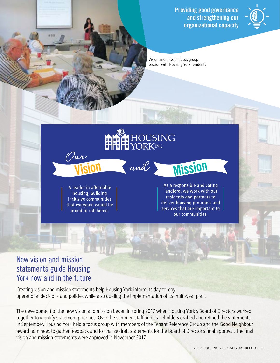Providing good governance and strengthening our organizational capacity



Vision and mission focus group session with Housing York residents

A leader in affordable housing, building inclusive communities that everyone would be proud to call home.

 $\mathscr{D}$ ur

As a responsible and caring landlord, we work with our residents and partners to deliver housing programs and services that are important to our communities.

**Mission** 

#### New vision and mission statements guide Housing York now and in the future

Creating vision and mission statements help Housing York inform its day-to-day operational decisions and policies while also guiding the implementation of its multi-year plan.

The development of the new vision and mission began in spring 2017 when Housing York's Board of Directors worked together to identify statement priorities. Over the summer, staff and stakeholders drafted and refined the statements. In September, Housing York held a focus group with members of the Tenant Reference Group and the Good Neighbour award nominees to gather feedback and to finalize draft statements for the Board of Director's final approval. The final vision and mission statements were approved in November 2017.

**ALLE HOUSING** 

and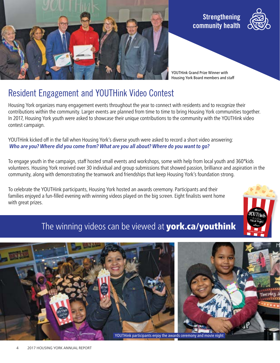





YOUTHink Grand Prize Winner with Housing York Board members and staff

## Resident Engagement and YOUTHink Video Contest

Housing York organizes many engagement events throughout the year to connect with residents and to recognize their contributions within the community. Larger events are planned from time to time to bring Housing York communities together. In 2017, Housing York youth were asked to showcase their unique contributions to the community with the YOUTHink video contest campaign.

YOUTHink kicked off in the fall when Housing York's diverse youth were asked to record a short video answering:  **Who are you? Where did you come from? What are you all about? Where do you want to go?** 

To engage youth in the campaign, staff hosted small events and workshops, some with help from local youth and 360°kids volunteers. Housing York received over 30 individual and group submissions that showed passion, brilliance and aspiration in the community, along with demonstrating the teamwork and friendships that keep Housing York's foundation strong.

To celebrate the YOUTHink participants, Housing York hosted an awards ceremony. Participants and their families enjoyed a fun-filled evening with winning videos played on the big screen. Eight finalists went home with great prizes.



## The winning videos can be viewed at **york.ca/youthink**



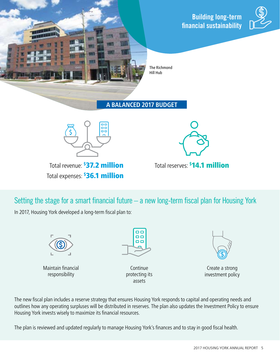Building long-term financial sustainability



The Richmond Hill Hub

**A BALANCED 2017 BUDGET** 



Total revenue: \$37.2 million Total expenses: <sup>\$</sup>36.1 million



37.2 million **Total reserves: \$14.1 million** 

Setting the stage for a smart financial future – a new long-term fiscal plan for Housing York

In 2017, Housing York developed a long-term fiscal plan to:



Maintain financial responsibility

 $\Box$ oo  $\Box$ 

> Continue protecting its assets



Create a strong investment policy

The new fiscal plan includes a reserve strategy that ensures Housing York responds to capital and operating needs and outlines how any operating surpluses will be distributed in reserves. The plan also updates the Investment Policy to ensure Housing York invests wisely to maximize its financial resources.

The plan is reviewed and updated regularly to manage Housing York's finances and to stay in good fiscal health.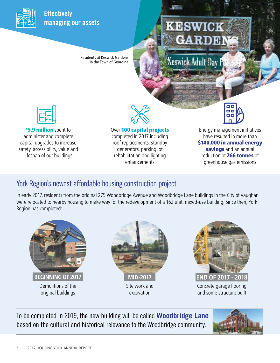

#### **Effectively** managing our assets

Residents at Keswick Gardens in the Town of Georgina

# **KESWICK**

Keswick Adult Day



**5.9 million** spent to administer and complete capital upgrades to increase safety, accessibility, value and lifespan of our buildings

Over 100 capital projects completed in 2017 including roof replacements, standby generators, parking lot rehabilitation and lighting enhancements

Energy management initiatives have resulted in more than \$140,000 in annual energy savings and an annual reduction of 266 tonnes of greenhouse gas emissions

### York Region's newest affordable housing construction project

In early 2017, residents from the original 275 Woodbridge Avenue and Woodbridge Lane buildings in the City of Vaughan were relocated to nearby housing to make way for the redevelopment of a 162 unit, mixed-use building. Since then, York Region has completed:



To be completed in 2019, the new building will be called **Woodbridge Lane** based on the cultural and historical relevance to the Woodbridge community.

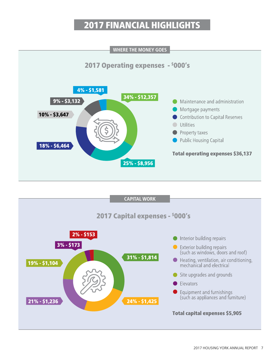## 2017 FINANCIAL HIGHLIGHTS